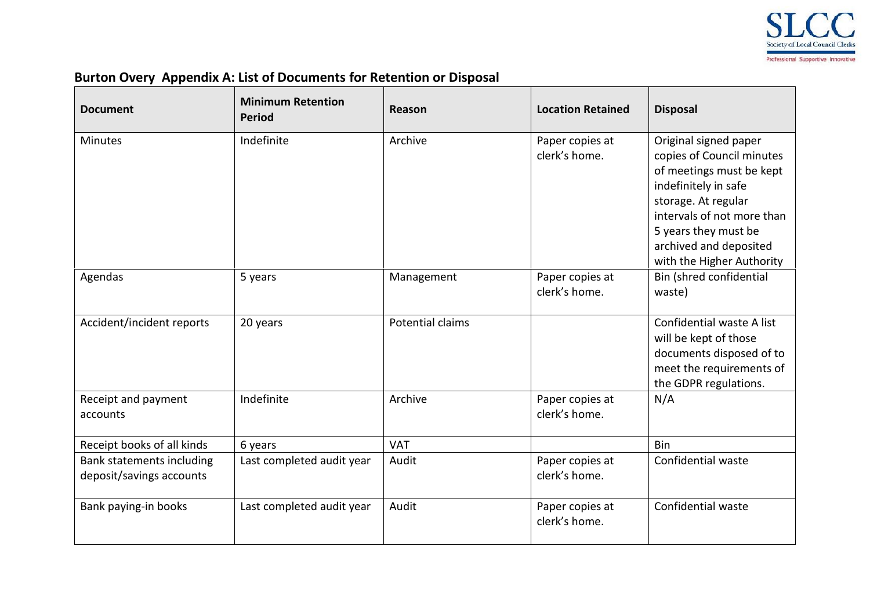

## **Burton Overy Appendix A: List of Documents for Retention or Disposal**

| <b>Document</b>                                       | <b>Minimum Retention</b><br><b>Period</b> | Reason           | <b>Location Retained</b>         | <b>Disposal</b>                                                                                                                                                                                                                            |
|-------------------------------------------------------|-------------------------------------------|------------------|----------------------------------|--------------------------------------------------------------------------------------------------------------------------------------------------------------------------------------------------------------------------------------------|
| <b>Minutes</b>                                        | Indefinite                                | Archive          | Paper copies at<br>clerk's home. | Original signed paper<br>copies of Council minutes<br>of meetings must be kept<br>indefinitely in safe<br>storage. At regular<br>intervals of not more than<br>5 years they must be<br>archived and deposited<br>with the Higher Authority |
| Agendas                                               | 5 years                                   | Management       | Paper copies at<br>clerk's home. | Bin (shred confidential<br>waste)                                                                                                                                                                                                          |
| Accident/incident reports                             | 20 years                                  | Potential claims |                                  | Confidential waste A list<br>will be kept of those<br>documents disposed of to<br>meet the requirements of<br>the GDPR regulations.                                                                                                        |
| Receipt and payment<br>accounts                       | Indefinite                                | Archive          | Paper copies at<br>clerk's home. | N/A                                                                                                                                                                                                                                        |
| Receipt books of all kinds                            | 6 years                                   | <b>VAT</b>       |                                  | Bin                                                                                                                                                                                                                                        |
| Bank statements including<br>deposit/savings accounts | Last completed audit year                 | Audit            | Paper copies at<br>clerk's home. | Confidential waste                                                                                                                                                                                                                         |
| Bank paying-in books                                  | Last completed audit year                 | Audit            | Paper copies at<br>clerk's home. | Confidential waste                                                                                                                                                                                                                         |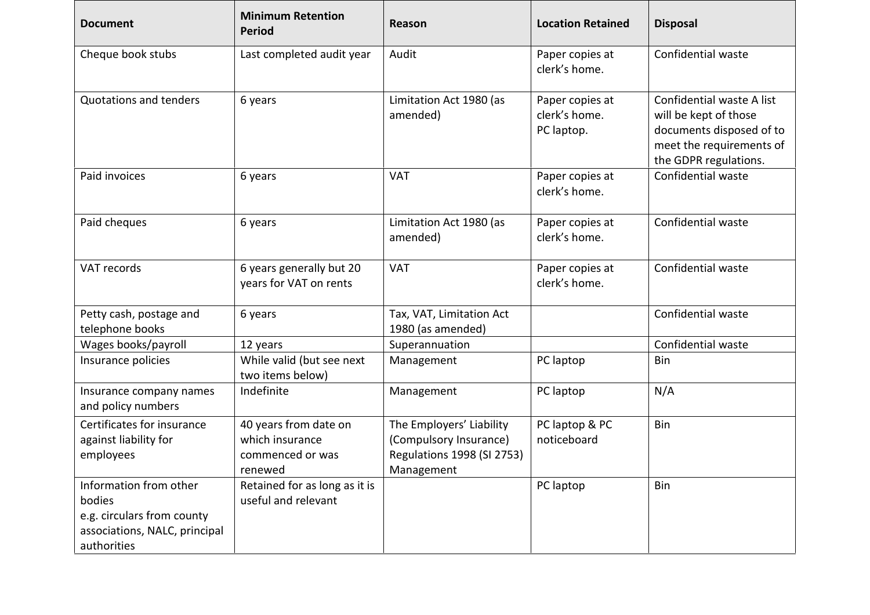| <b>Document</b>                                                                                                | <b>Minimum Retention</b><br><b>Period</b>                               | Reason                                                                                         | <b>Location Retained</b>                       | <b>Disposal</b>                                                                                                                     |
|----------------------------------------------------------------------------------------------------------------|-------------------------------------------------------------------------|------------------------------------------------------------------------------------------------|------------------------------------------------|-------------------------------------------------------------------------------------------------------------------------------------|
| Cheque book stubs                                                                                              | Last completed audit year                                               | Audit                                                                                          | Paper copies at<br>clerk's home.               | Confidential waste                                                                                                                  |
| <b>Quotations and tenders</b>                                                                                  | 6 years                                                                 | Limitation Act 1980 (as<br>amended)                                                            | Paper copies at<br>clerk's home.<br>PC laptop. | Confidential waste A list<br>will be kept of those<br>documents disposed of to<br>meet the requirements of<br>the GDPR regulations. |
| Paid invoices                                                                                                  | 6 years                                                                 | <b>VAT</b>                                                                                     | Paper copies at<br>clerk's home.               | Confidential waste                                                                                                                  |
| Paid cheques                                                                                                   | 6 years                                                                 | Limitation Act 1980 (as<br>amended)                                                            | Paper copies at<br>clerk's home.               | Confidential waste                                                                                                                  |
| VAT records                                                                                                    | 6 years generally but 20<br>years for VAT on rents                      | <b>VAT</b>                                                                                     | Paper copies at<br>clerk's home.               | Confidential waste                                                                                                                  |
| Petty cash, postage and<br>telephone books                                                                     | 6 years                                                                 | Tax, VAT, Limitation Act<br>1980 (as amended)                                                  |                                                | Confidential waste                                                                                                                  |
| Wages books/payroll                                                                                            | 12 years                                                                | Superannuation                                                                                 |                                                | Confidential waste                                                                                                                  |
| Insurance policies                                                                                             | While valid (but see next<br>two items below)                           | Management                                                                                     | PC laptop                                      | Bin                                                                                                                                 |
| Insurance company names<br>and policy numbers                                                                  | Indefinite                                                              | Management                                                                                     | PC laptop                                      | N/A                                                                                                                                 |
| Certificates for insurance<br>against liability for<br>employees                                               | 40 years from date on<br>which insurance<br>commenced or was<br>renewed | The Employers' Liability<br>(Compulsory Insurance)<br>Regulations 1998 (SI 2753)<br>Management | PC laptop & PC<br>noticeboard                  | Bin                                                                                                                                 |
| Information from other<br>bodies<br>e.g. circulars from county<br>associations, NALC, principal<br>authorities | Retained for as long as it is<br>useful and relevant                    |                                                                                                | PC laptop                                      | Bin                                                                                                                                 |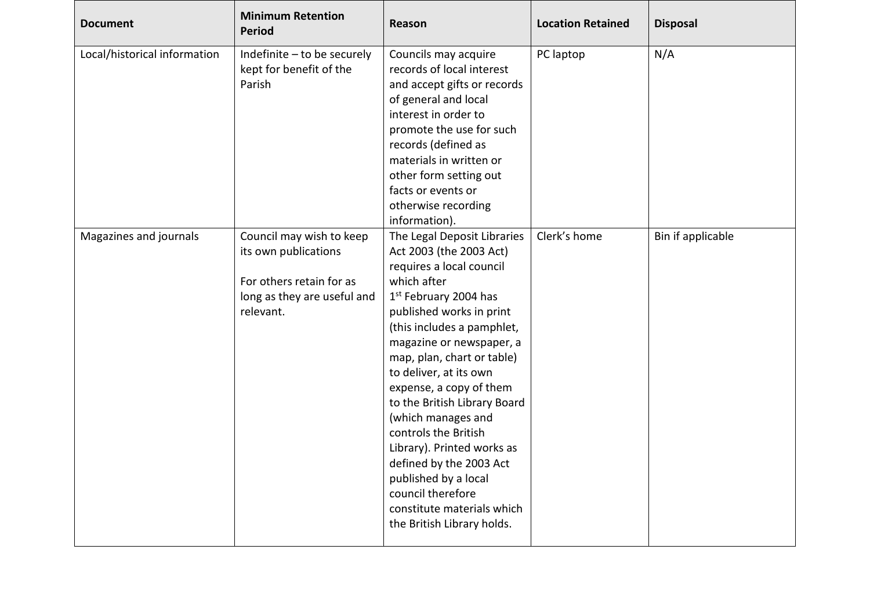| <b>Document</b>              | <b>Minimum Retention</b><br><b>Period</b>                                                                                | <b>Reason</b>                                                                                                                                                                                                                                                                                                                                                                                                                                                                                                                                       | <b>Location Retained</b> | <b>Disposal</b>   |
|------------------------------|--------------------------------------------------------------------------------------------------------------------------|-----------------------------------------------------------------------------------------------------------------------------------------------------------------------------------------------------------------------------------------------------------------------------------------------------------------------------------------------------------------------------------------------------------------------------------------------------------------------------------------------------------------------------------------------------|--------------------------|-------------------|
| Local/historical information | Indefinite - to be securely<br>kept for benefit of the<br>Parish                                                         | Councils may acquire<br>records of local interest<br>and accept gifts or records<br>of general and local<br>interest in order to<br>promote the use for such<br>records (defined as<br>materials in written or<br>other form setting out<br>facts or events or<br>otherwise recording<br>information).                                                                                                                                                                                                                                              | PC laptop                | N/A               |
| Magazines and journals       | Council may wish to keep<br>its own publications<br>For others retain for as<br>long as they are useful and<br>relevant. | The Legal Deposit Libraries<br>Act 2003 (the 2003 Act)<br>requires a local council<br>which after<br>1st February 2004 has<br>published works in print<br>(this includes a pamphlet,<br>magazine or newspaper, a<br>map, plan, chart or table)<br>to deliver, at its own<br>expense, a copy of them<br>to the British Library Board<br>(which manages and<br>controls the British<br>Library). Printed works as<br>defined by the 2003 Act<br>published by a local<br>council therefore<br>constitute materials which<br>the British Library holds. | Clerk's home             | Bin if applicable |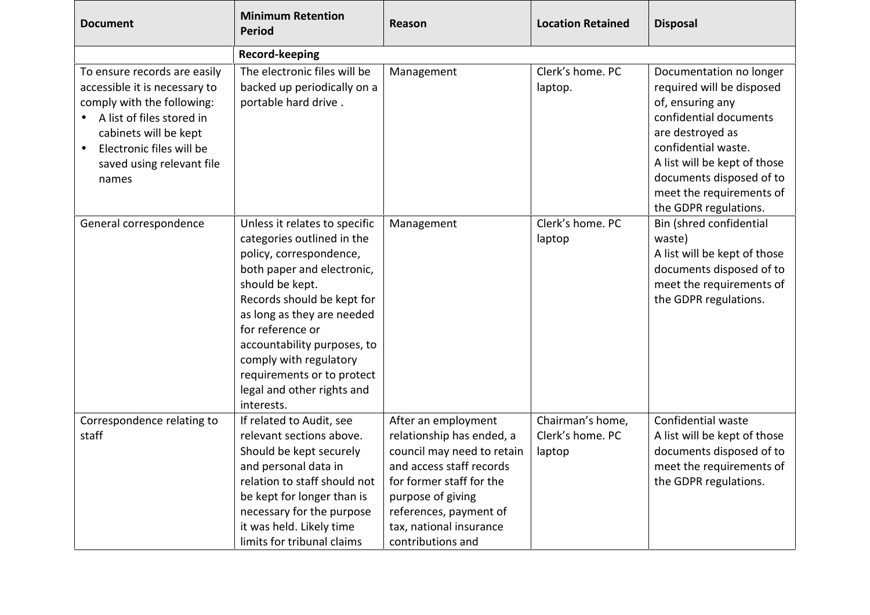| <b>Document</b>                                                                                                                                                                                                     | <b>Minimum Retention</b><br><b>Period</b>                                                                                                                                                                                                                                                                                                                  | Reason                                                                                                                                                                                                                                | <b>Location Retained</b>                       | <b>Disposal</b>                                                                                                                                                                                                                                                |
|---------------------------------------------------------------------------------------------------------------------------------------------------------------------------------------------------------------------|------------------------------------------------------------------------------------------------------------------------------------------------------------------------------------------------------------------------------------------------------------------------------------------------------------------------------------------------------------|---------------------------------------------------------------------------------------------------------------------------------------------------------------------------------------------------------------------------------------|------------------------------------------------|----------------------------------------------------------------------------------------------------------------------------------------------------------------------------------------------------------------------------------------------------------------|
|                                                                                                                                                                                                                     | <b>Record-keeping</b>                                                                                                                                                                                                                                                                                                                                      |                                                                                                                                                                                                                                       |                                                |                                                                                                                                                                                                                                                                |
| To ensure records are easily<br>accessible it is necessary to<br>comply with the following:<br>A list of files stored in<br>cabinets will be kept<br>Electronic files will be<br>saved using relevant file<br>names | The electronic files will be<br>backed up periodically on a<br>portable hard drive.                                                                                                                                                                                                                                                                        | Management                                                                                                                                                                                                                            | Clerk's home. PC<br>laptop.                    | Documentation no longer<br>required will be disposed<br>of, ensuring any<br>confidential documents<br>are destroyed as<br>confidential waste.<br>A list will be kept of those<br>documents disposed of to<br>meet the requirements of<br>the GDPR regulations. |
| General correspondence                                                                                                                                                                                              | Unless it relates to specific<br>categories outlined in the<br>policy, correspondence,<br>both paper and electronic,<br>should be kept.<br>Records should be kept for<br>as long as they are needed<br>for reference or<br>accountability purposes, to<br>comply with regulatory<br>requirements or to protect<br>legal and other rights and<br>interests. | Management                                                                                                                                                                                                                            | Clerk's home. PC<br>laptop                     | Bin (shred confidential<br>waste)<br>A list will be kept of those<br>documents disposed of to<br>meet the requirements of<br>the GDPR regulations.                                                                                                             |
| Correspondence relating to<br>staff                                                                                                                                                                                 | If related to Audit, see<br>relevant sections above.<br>Should be kept securely<br>and personal data in<br>relation to staff should not<br>be kept for longer than is<br>necessary for the purpose<br>it was held. Likely time<br>limits for tribunal claims                                                                                               | After an employment<br>relationship has ended, a<br>council may need to retain<br>and access staff records<br>for former staff for the<br>purpose of giving<br>references, payment of<br>tax, national insurance<br>contributions and | Chairman's home,<br>Clerk's home. PC<br>laptop | Confidential waste<br>A list will be kept of those<br>documents disposed of to<br>meet the requirements of<br>the GDPR regulations.                                                                                                                            |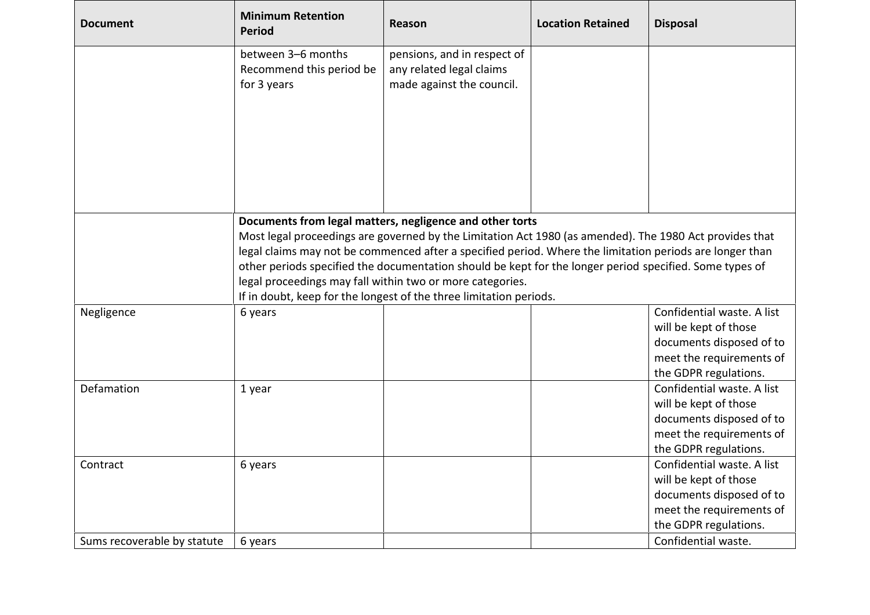| <b>Document</b>             | <b>Minimum Retention</b><br><b>Period</b>                     | Reason                                                                                                                                                                                                                                                                                                                                                                                                                                                                                                                        | <b>Location Retained</b> | <b>Disposal</b>                                                                                                                      |
|-----------------------------|---------------------------------------------------------------|-------------------------------------------------------------------------------------------------------------------------------------------------------------------------------------------------------------------------------------------------------------------------------------------------------------------------------------------------------------------------------------------------------------------------------------------------------------------------------------------------------------------------------|--------------------------|--------------------------------------------------------------------------------------------------------------------------------------|
|                             | between 3-6 months<br>Recommend this period be<br>for 3 years | pensions, and in respect of<br>any related legal claims<br>made against the council.                                                                                                                                                                                                                                                                                                                                                                                                                                          |                          |                                                                                                                                      |
|                             |                                                               | Documents from legal matters, negligence and other torts<br>Most legal proceedings are governed by the Limitation Act 1980 (as amended). The 1980 Act provides that<br>legal claims may not be commenced after a specified period. Where the limitation periods are longer than<br>other periods specified the documentation should be kept for the longer period specified. Some types of<br>legal proceedings may fall within two or more categories.<br>If in doubt, keep for the longest of the three limitation periods. |                          |                                                                                                                                      |
| Negligence                  | 6 years                                                       |                                                                                                                                                                                                                                                                                                                                                                                                                                                                                                                               |                          | Confidential waste. A list<br>will be kept of those<br>documents disposed of to<br>meet the requirements of<br>the GDPR regulations. |
| Defamation                  | 1 year                                                        |                                                                                                                                                                                                                                                                                                                                                                                                                                                                                                                               |                          | Confidential waste. A list<br>will be kept of those<br>documents disposed of to<br>meet the requirements of<br>the GDPR regulations. |
| Contract                    | 6 years                                                       |                                                                                                                                                                                                                                                                                                                                                                                                                                                                                                                               |                          | Confidential waste. A list<br>will be kept of those<br>documents disposed of to<br>meet the requirements of<br>the GDPR regulations. |
| Sums recoverable by statute | 6 years                                                       |                                                                                                                                                                                                                                                                                                                                                                                                                                                                                                                               |                          | Confidential waste.                                                                                                                  |